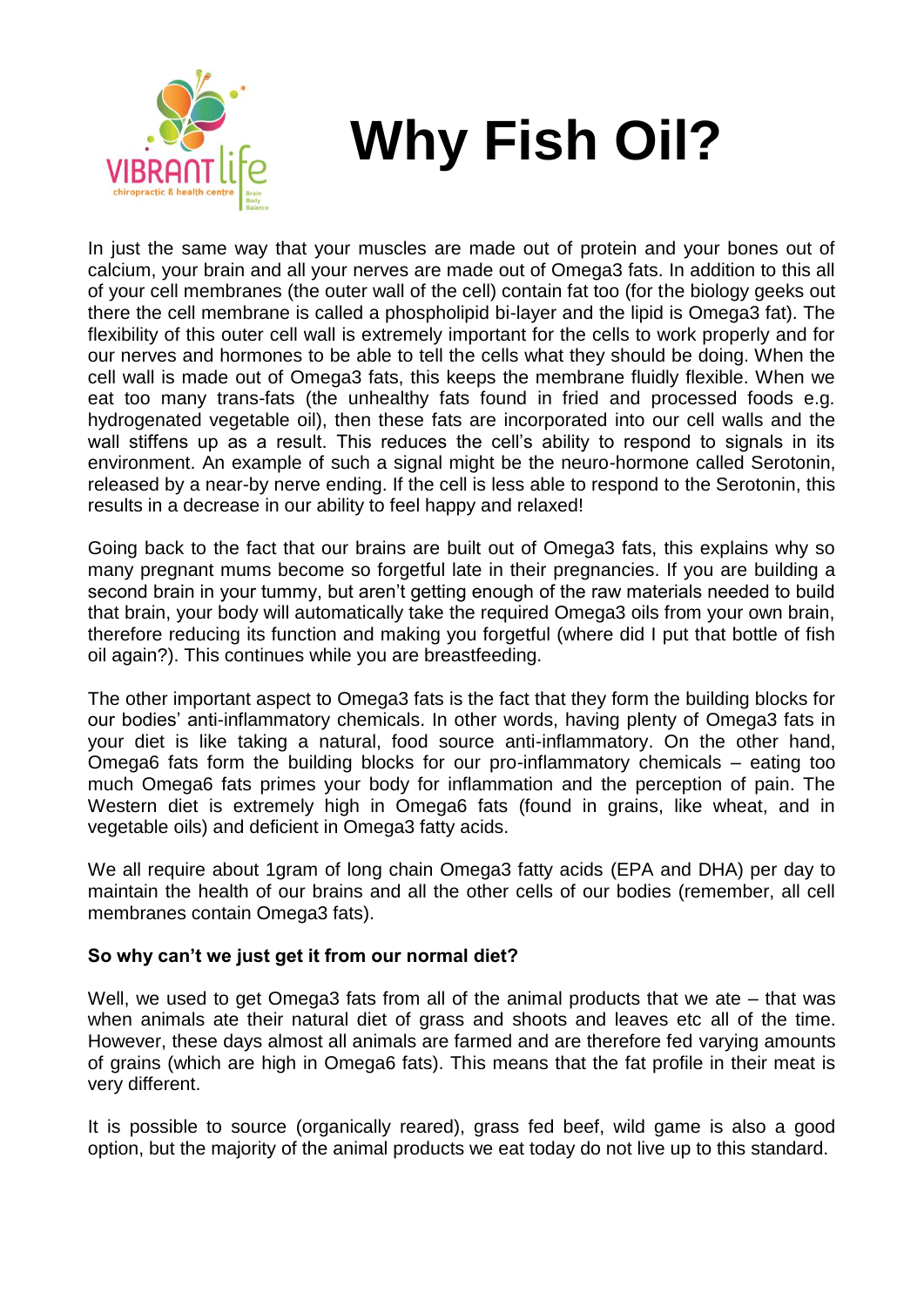

## **Why Fish Oil?**

In just the same way that your muscles are made out of protein and your bones out of calcium, your brain and all your nerves are made out of Omega3 fats. In addition to this all of your cell membranes (the outer wall of the cell) contain fat too (for the biology geeks out there the cell membrane is called a phospholipid bi-layer and the lipid is Omega3 fat). The flexibility of this outer cell wall is extremely important for the cells to work properly and for our nerves and hormones to be able to tell the cells what they should be doing. When the cell wall is made out of Omega3 fats, this keeps the membrane fluidly flexible. When we eat too many trans-fats (the unhealthy fats found in fried and processed foods e.g. hydrogenated vegetable oil), then these fats are incorporated into our cell walls and the wall stiffens up as a result. This reduces the cell's ability to respond to signals in its environment. An example of such a signal might be the neuro-hormone called Serotonin, released by a near-by nerve ending. If the cell is less able to respond to the Serotonin, this results in a decrease in our ability to feel happy and relaxed!

Going back to the fact that our brains are built out of Omega3 fats, this explains why so many pregnant mums become so forgetful late in their pregnancies. If you are building a second brain in your tummy, but aren't getting enough of the raw materials needed to build that brain, your body will automatically take the required Omega3 oils from your own brain, therefore reducing its function and making you forgetful (where did I put that bottle of fish oil again?). This continues while you are breastfeeding.

The other important aspect to Omega3 fats is the fact that they form the building blocks for our bodies' anti-inflammatory chemicals. In other words, having plenty of Omega3 fats in your diet is like taking a natural, food source anti-inflammatory. On the other hand, Omega6 fats form the building blocks for our pro-inflammatory chemicals – eating too much Omega6 fats primes your body for inflammation and the perception of pain. The Western diet is extremely high in Omega6 fats (found in grains, like wheat, and in vegetable oils) and deficient in Omega3 fatty acids.

We all require about 1gram of long chain Omega3 fatty acids (EPA and DHA) per day to maintain the health of our brains and all the other cells of our bodies (remember, all cell membranes contain Omega3 fats).

## **So why can't we just get it from our normal diet?**

Well, we used to get Omega3 fats from all of the animal products that we ate – that was when animals ate their natural diet of grass and shoots and leaves etc all of the time. However, these days almost all animals are farmed and are therefore fed varying amounts of grains (which are high in Omega6 fats). This means that the fat profile in their meat is very different.

It is possible to source (organically reared), grass fed beef, wild game is also a good option, but the majority of the animal products we eat today do not live up to this standard.